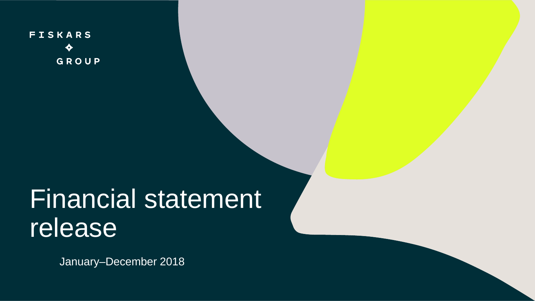**FISKARS** GROUP

# Financial statement release

January–December 2018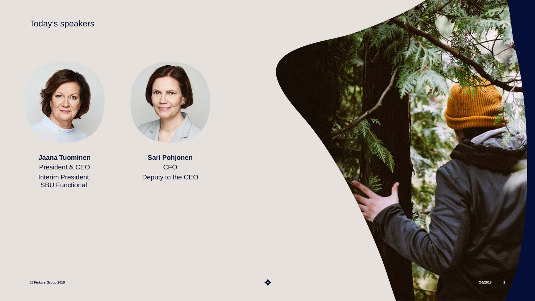## Today's speakers







**Sari Pohjonen** CFO Deputy to the CEO

ⓒ **Fiskars Group 2019 Q4/2018 2**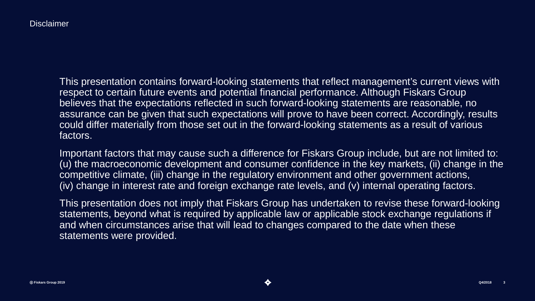This presentation contains forward-looking statements that reflect management's current views with respect to certain future events and potential financial performance. Although Fiskars Group believes that the expectations reflected in such forward-looking statements are reasonable, no assurance can be given that such expectations will prove to have been correct. Accordingly, results could differ materially from those set out in the forward-looking statements as a result of various factors.

Important factors that may cause such a difference for Fiskars Group include, but are not limited to: (u) the macroeconomic development and consumer confidence in the key markets, (ii) change in the competitive climate, (iii) change in the regulatory environment and other government actions, (iv) change in interest rate and foreign exchange rate levels, and (v) internal operating factors.

This presentation does not imply that Fiskars Group has undertaken to revise these forward-looking statements, beyond what is required by applicable law or applicable stock exchange regulations if and when circumstances arise that will lead to changes compared to the date when these statements were provided.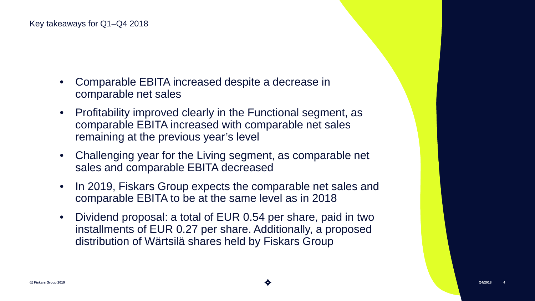- Comparable EBITA increased despite a decrease in comparable net sales
- Profitability improved clearly in the Functional segment, as comparable EBITA increased with comparable net sales remaining at the previous year's level
- Challenging year for the Living segment, as comparable net sales and comparable EBITA decreased
- In 2019, Fiskars Group expects the comparable net sales and comparable EBITA to be at the same level as in 2018
- Dividend proposal: a total of EUR 0.54 per share, paid in two installments of EUR 0.27 per share. Additionally, a proposed distribution of Wärtsilä shares held by Fiskars Group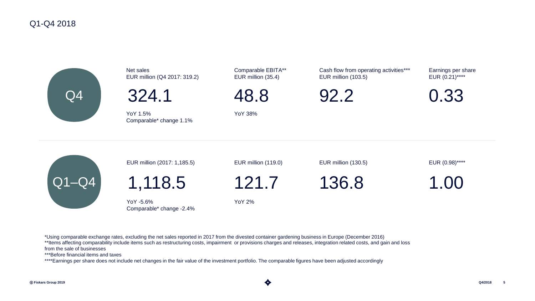#### Q1-Q4 2018



Net sales EUR million (Q4 2017: 319.2)

324.1

YoY 1.5% YoY 38% Comparable\* change 1.1%

Comparable EBITA\*\* EUR million (35.4)

48.8

Cash flow from operating activities\*\*\* EUR million (103.5)

92.2

Earnings per share EUR (0.21)\*\*\*\*

0.33

|                    | EUR million (2017: 1,185.5)           | EUR million (119.0) | EUR million (130.5) | EUR (0.98)**** |
|--------------------|---------------------------------------|---------------------|---------------------|----------------|
| $\overline{Q1-Q4}$ | 1,118.5                               | 121.7               | 136.8               | 1.00           |
|                    | YoY -5.6%<br>Comparable* change -2.4% | YoY 2%              |                     |                |

\*Using comparable exchange rates, excluding the net sales reported in 2017 from the divested container gardening business in Europe (December 2016) \*\*Items affecting comparability include items such as restructuring costs, impairment or provisions charges and releases, integration related costs, and gain and loss from the sale of businesses

\*\*\*Before financial items and taxes

\*\*\*\*Earnings per share does not include net changes in the fair value of the investment portfolio. The comparable figures have been adjusted accordingly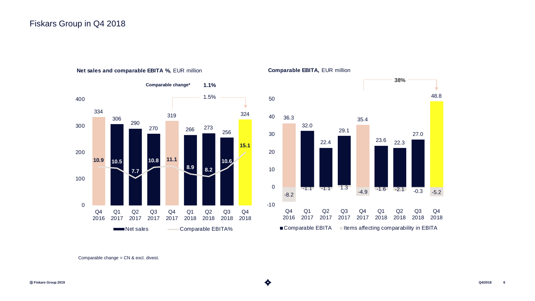#### Fiskars Group in Q4 2018



#### **Net sales and comparable EBITA %,** EUR million





Comparable change = CN & excl. divest.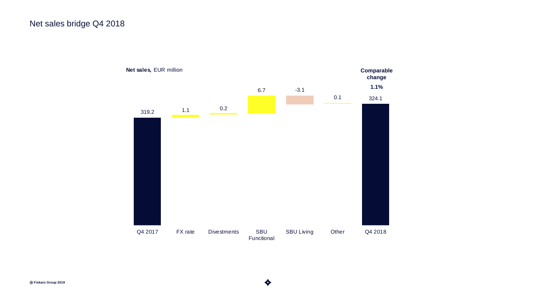### Net sales bridge Q4 2018

**1.1% Comparable change** 319.2 1.1 0.2 6.7 -3.1 0.1 324.1 Q4 2017 FX rate Divestments SBU Functional SBU Living Other Q4 2018 **Net sales,** EUR million

ⓒ **Fiskars Group 2019 Q4/2018 7**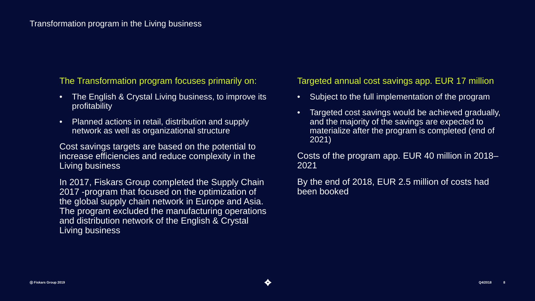The Transformation program focuses primarily on:

- The English & Crystal Living business, to improve its profitability
- Planned actions in retail, distribution and supply network as well as organizational structure

Cost savings targets are based on the potential to increase efficiencies and reduce complexity in the Living business

In 2017, Fiskars Group completed the Supply Chain 2017 -program that focused on the optimization of the global supply chain network in Europe and Asia. The program excluded the manufacturing operations and distribution network of the English & Crystal Living business

#### Targeted annual cost savings app. EUR 17 million

- Subject to the full implementation of the program
- Targeted cost savings would be achieved gradually, and the majority of the savings are expected to materialize after the program is completed (end of 2021)

Costs of the program app. EUR 40 million in 2018– 2021

By the end of 2018, EUR 2.5 million of costs had been booked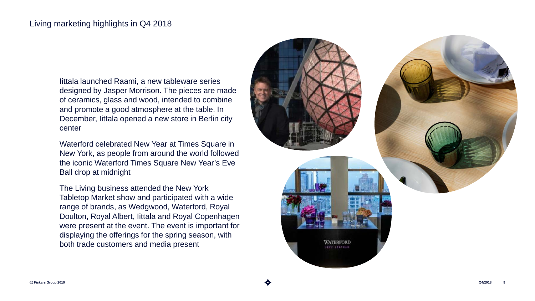#### Living marketing highlights in Q4 2018

Iittala launched Raami, a new tableware series designed by Jasper Morrison. The pieces are made of ceramics, glass and wood, intended to combine and promote a good atmosphere at the table. In December, Iittala opened a new store in Berlin city center

Waterford celebrated New Year at Times Square in New York, as people from around the world followed the iconic Waterford Times Square New Year's Eve Ball drop at midnight

The Living business attended the New York Tabletop Market show and participated with a wide range of brands, as Wedgwood, Waterford, Royal Doulton, Royal Albert, Iittala and Royal Copenhagen were present at the event. The event is important for displaying the offerings for the spring season, with both trade customers and media present

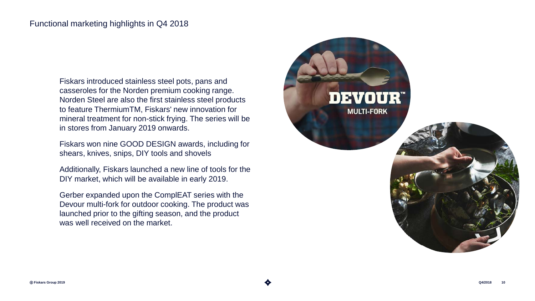Fiskars introduced stainless steel pots, pans and casseroles for the Norden premium cooking range. Norden Steel are also the first stainless steel products to feature ThermiumTM, Fiskars' new innovation for mineral treatment for non-stick frying. The series will be in stores from January 2019 onwards.

Fiskars won nine GOOD DESIGN awards, including for shears, knives, snips, DIY tools and shovels

Additionally, Fiskars launched a new line of tools for the DIY market, which will be available in early 2019.

Gerber expanded upon the ComplEAT series with the Devour multi-fork for outdoor cooking. The product was launched prior to the gifting season, and the product was well received on the market.

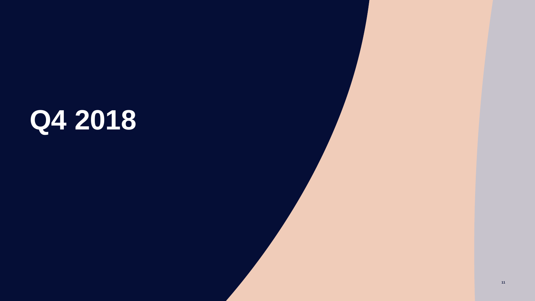# **Q4 2018**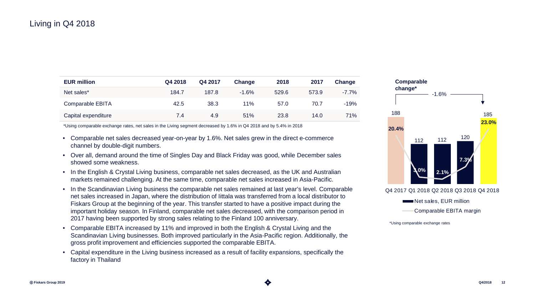#### Living in Q4 2018

| <b>EUR million</b>  | Q4 2018 | Q4 2017 | Change  | 2018  | 2017  | Change   |
|---------------------|---------|---------|---------|-------|-------|----------|
| Net sales*          | 184.7   | 187.8   | $-1.6%$ | 529.6 | 573.9 | $-7.7\%$ |
| Comparable EBITA    | 42.5    | 38.3    | 11%     | 57.0  | 70.7  | $-19%$   |
| Capital expenditure | 7.4     | 4.9     | 51%     | 23.8  | 14.0  | 71%      |

\*Using comparable exchange rates, net sales in the Living segment decreased by 1.6% in Q4 2018 and by 5.4% in 2018

- Comparable net sales decreased year-on-year by 1.6%. Net sales grew in the direct e-commerce channel by double-digit numbers.
- Over all, demand around the time of Singles Day and Black Friday was good, while December sales showed some weakness.
- In the English & Crystal Living business, comparable net sales decreased, as the UK and Australian markets remained challenging. At the same time, comparable net sales increased in Asia-Pacific.
- In the Scandinavian Living business the comparable net sales remained at last year's level. Comparable net sales increased in Japan, where the distribution of Iittala was transferred from a local distributor to Fiskars Group at the beginning of the year. This transfer started to have a positive impact during the important holiday season. In Finland, comparable net sales decreased, with the comparison period in 2017 having been supported by strong sales relating to the Finland 100 anniversary.
- Comparable EBITA increased by 11% and improved in both the English & Crystal Living and the Scandinavian Living businesses. Both improved particularly in the Asia-Pacific region. Additionally, the gross profit improvement and efficiencies supported the comparable EBITA.
- Capital expenditure in the Living business increased as a result of facility expansions, specifically the factory in Thailand



\*Using comparable exchange rates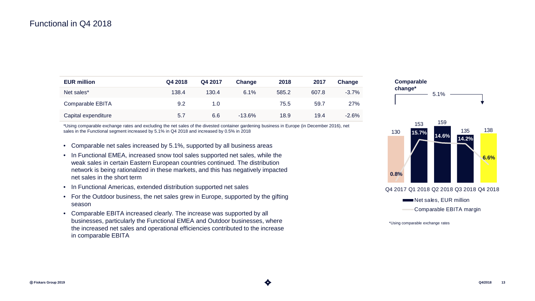#### Functional in Q4 2018

| <b>EUR million</b>  | Q4 2018 | Q4 2017 | Change   | 2018  | 2017  | Change  |
|---------------------|---------|---------|----------|-------|-------|---------|
| Net sales*          | 138.4   | 130.4   | 6.1%     | 585.2 | 607.8 | $-3.7%$ |
| Comparable EBITA    | 9.2     | 1.0     |          | 75.5  | 59.7  | 27%     |
| Capital expenditure | 5.7     | 6.6     | $-13.6%$ | 18.9  | 19.4  | $-2.6%$ |

\*Using comparable exchange rates and excluding the net sales of the divested container gardening business in Europe (in December 2016), net sales in the Functional segment increased by 5.1% in Q4 2018 and increased by 0.5% in 2018

- Comparable net sales increased by 5.1%, supported by all business areas
- In Functional EMEA, increased snow tool sales supported net sales, while the weak sales in certain Eastern European countries continued. The distribution network is being rationalized in these markets, and this has negatively impacted net sales in the short term
- In Functional Americas, extended distribution supported net sales
- For the Outdoor business, the net sales grew in Europe, supported by the gifting season
- Comparable EBITA increased clearly. The increase was supported by all businesses, particularly the Functional EMEA and Outdoor businesses, where the increased net sales and operational efficiencies contributed to the increase in comparable EBITA





Q4 2017 Q1 2018 Q2 2018 Q3 2018 Q4 2018

Net sales, EUR million

Comparable EBITA margin

\*Using comparable exchange rates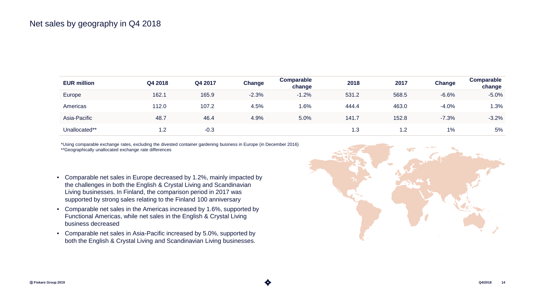| <b>EUR million</b> | Q4 2018 | Q4 2017 | Change  | Comparable<br>change | 2018  | 2017  | Change  | Comparable<br>change |
|--------------------|---------|---------|---------|----------------------|-------|-------|---------|----------------------|
| Europe             | 162.1   | 165.9   | $-2.3%$ | $-1.2%$              | 531.2 | 568.5 | $-6.6%$ | $-5.0%$              |
| Americas           | 112.0   | 107.2   | 4.5%    | 1.6%                 | 444.4 | 463.0 | $-4.0%$ | 1.3%                 |
| Asia-Pacific       | 48.7    | 46.4    | 4.9%    | 5.0%                 | 141.7 | 152.8 | $-7.3%$ | $-3.2%$              |
| Unallocated**      | 1.2     | $-0.3$  |         |                      | 1.3   | 1.2   | 1%      | 5%                   |

\*Using comparable exchange rates, excluding the divested container gardening business in Europe (in December 2016) \*\*Geographically unallocated exchange rate differences

- Comparable net sales in Europe decreased by 1.2%, mainly impacted by the challenges in both the English & Crystal Living and Scandinavian Living businesses. In Finland, the comparison period in 2017 was supported by strong sales relating to the Finland 100 anniversary
- Comparable net sales in the Americas increased by 1.6%, supported by Functional Americas, while net sales in the English & Crystal Living business decreased
- Comparable net sales in Asia-Pacific increased by 5.0%, supported by both the English & Crystal Living and Scandinavian Living businesses.

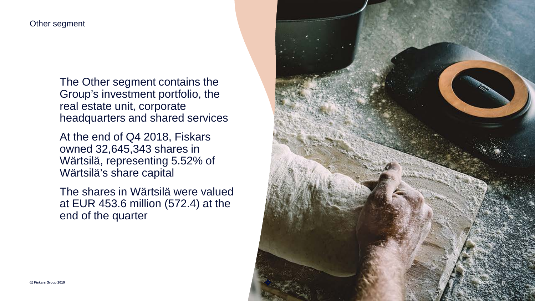#### Other segment

The Other segment contains the Group's investment portfolio, the real estate unit, corporate headquarters and shared services

At the end of Q4 2018, Fiskars owned 32,645,343 shares in Wärtsilä, representing 5.52% of Wärtsilä's share capital

The shares in Wärtsilä were valued at EUR 453.6 million (572.4) at the end of the quarter

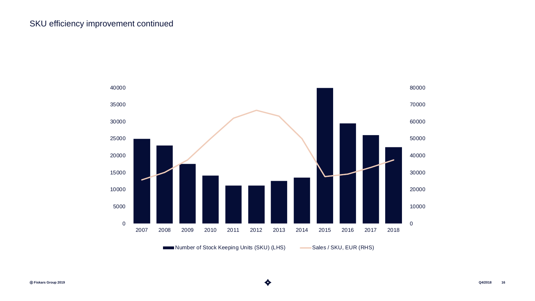#### SKU efficiency improvement continued



Number of Stock Keeping Units (SKU) (LHS) Sales / SKU, EUR (RHS)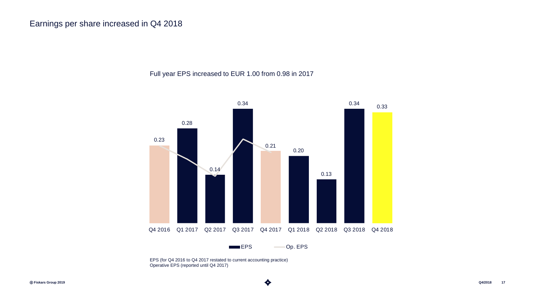Full year EPS increased to EUR 1.00 from 0.98 in 2017



EPS (for Q4 2016 to Q4 2017 restated to current accounting practice) Operative EPS (reported until Q4 2017)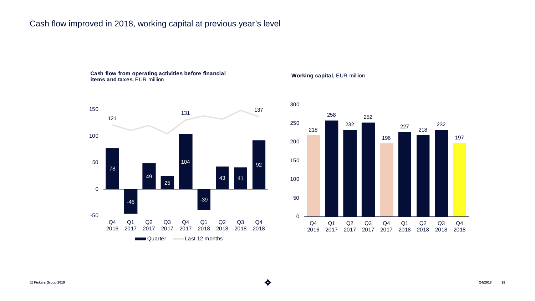## Cash flow improved in 2018, working capital at previous year's level

#### **Cash flow from operating activities before financial items and taxes,** EUR million



#### **Working capital,** EUR million

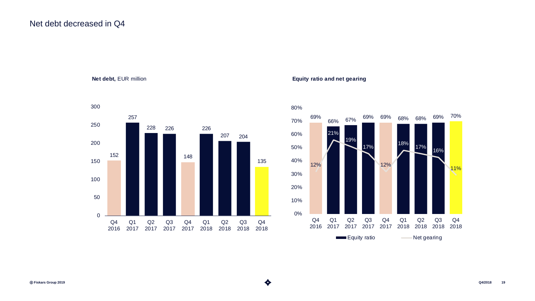#### Net debt decreased in Q4

**Net debt,** EUR million



#### **Equity ratio and net gearing**

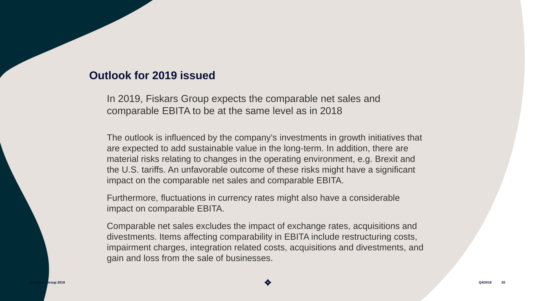# **Outlook for 2019 issued**

In 2019, Fiskars Group expects the comparable net sales and comparable EBITA to be at the same level as in 2018

The outlook is influenced by the company's investments in growth initiatives that are expected to add sustainable value in the long-term. In addition, there are material risks relating to changes in the operating environment, e.g. Brexit and the U.S. tariffs. An unfavorable outcome of these risks might have a significant impact on the comparable net sales and comparable EBITA.

Furthermore, fluctuations in currency rates might also have a considerable impact on comparable EBITA.

Comparable net sales excludes the impact of exchange rates, acquisitions and divestments. Items affecting comparability in EBITA include restructuring costs, impairment charges, integration related costs, acquisitions and divestments, and gain and loss from the sale of businesses.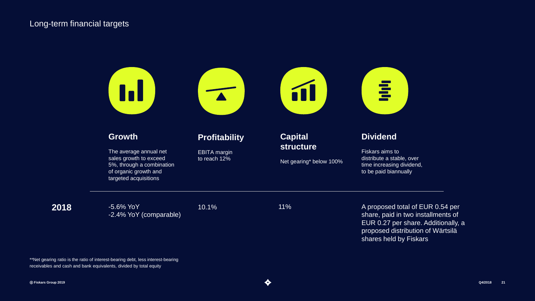#### Long-term financial targets



\*\*Net gearing ratio is the ratio of interest-bearing debt, less interest-bearing receivables and cash and bank equivalents, divided by total equity

**2018**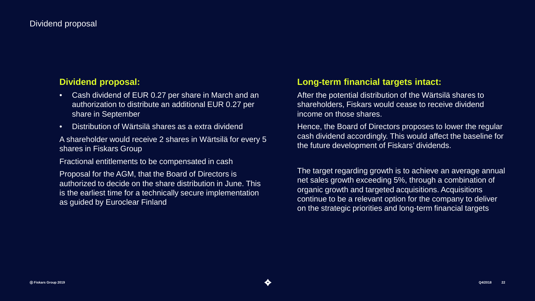#### **Dividend proposal:**

- Cash dividend of EUR 0.27 per share in March and an authorization to distribute an additional EUR 0.27 per share in September
- Distribution of Wärtsilä shares as a extra dividend

A shareholder would receive 2 shares in Wärtsilä for every 5 shares in Fiskars Group

Fractional entitlements to be compensated in cash

Proposal for the AGM, that the Board of Directors is authorized to decide on the share distribution in June. This is the earliest time for a technically secure implementation as guided by Euroclear Finland

#### **Long-term financial targets intact:**

After the potential distribution of the Wärtsilä shares to shareholders, Fiskars would cease to receive dividend income on those shares.

Hence, the Board of Directors proposes to lower the regular cash dividend accordingly. This would affect the baseline for the future development of Fiskars' dividends.

The target regarding growth is to achieve an average annual net sales growth exceeding 5%, through a combination of organic growth and targeted acquisitions. Acquisitions continue to be a relevant option for the company to deliver on the strategic priorities and long-term financial targets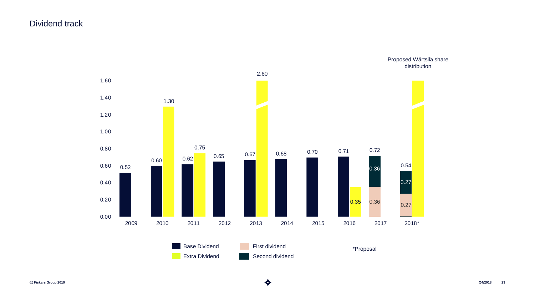#### Dividend track



ⓒ **Fiskars Group 2019 Q4/2018 23**